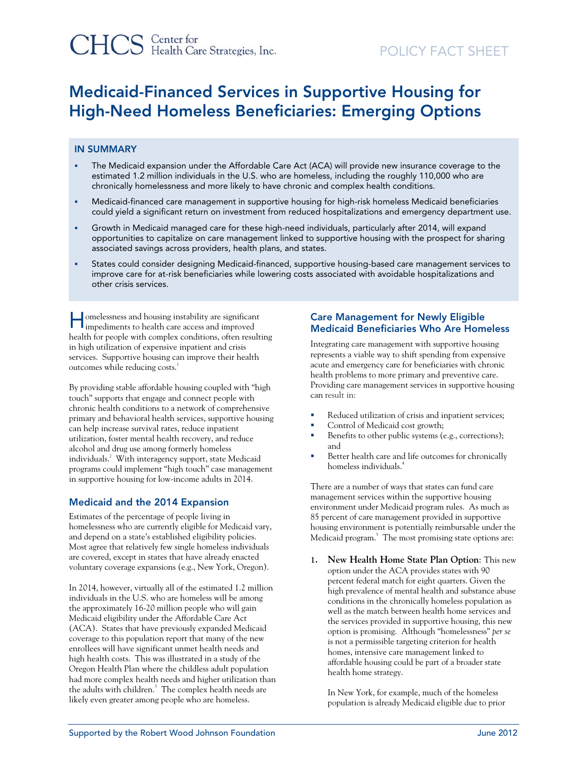# Medicaid-Financed Services in Supportive Housing for High-Need Homeless Beneficiaries: Emerging Options

#### IN SUMMARY

- The Medicaid expansion under the Affordable Care Act (ACA) will provide new insurance coverage to the estimated 1.2 million individuals in the U.S. who are homeless, including the roughly 110,000 who are chronically homelessness and more likely to have chronic and complex health conditions.
- Medicaid-financed care management in supportive housing for high-risk homeless Medicaid beneficiaries could yield a significant return on investment from reduced hospitalizations and emergency department use.
- Growth in Medicaid managed care for these high-need individuals, particularly after 2014, will expand opportunities to capitalize on care management linked to supportive housing with the prospect for sharing associated savings across providers, health plans, and states.
- States could consider designing Medicaid-financed, supportive housing-based care management services to improve care for at-risk beneficiaries while lowering costs associated with avoidable hospitalizations and other crisis services.

omelessness and housing instability are significant **Industrian** conduction in the impediments to health care access and improved health for people with complex conditions, often resulting in high utilization of expensive inpatient and crisis services. Supportive housing can improve their health outcomes while reducing costs.<sup>1</sup>

By providing stable affordable housing coupled with "high touch" supports that engage and connect people with chronic health conditions to a network of comprehensive primary and behavioral health services, supportive housing can help increase survival rates, reduce inpatient utilization, foster mental health recovery, and reduce alcohol and drug use among formerly homeless individuals.2 With interagency support, state Medicaid programs could implement "high touch" case management in supportive housing for low-income adults in 2014.

### Medicaid and the 2014 Expansion

Estimates of the percentage of people living in homelessness who are currently eligible for Medicaid vary, and depend on a state's established eligibility policies. Most agree that relatively few single homeless individuals are covered, except in states that have already enacted voluntary coverage expansions (e.g., New York, Oregon).

In 2014, however, virtually all of the estimated 1.2 million individuals in the U.S. who are homeless will be among the approximately 16-20 million people who will gain Medicaid eligibility under the Affordable Care Act (ACA). States that have previously expanded Medicaid coverage to this population report that many of the new enrollees will have significant unmet health needs and high health costs. This was illustrated in a study of the Oregon Health Plan where the childless adult population had more complex health needs and higher utilization than the adults with children. $3$  The complex health needs are likely even greater among people who are homeless.

#### Care Management for Newly Eligible Medicaid Beneficiaries Who Are Homeless

Integrating care management with supportive housing represents a viable way to shift spending from expensive acute and emergency care for beneficiaries with chronic health problems to more primary and preventive care. Providing care management services in supportive housing can result in:

- Reduced utilization of crisis and inpatient services;
- Control of Medicaid cost growth;
- Benefits to other public systems (e.g., corrections); and
- Better health care and life outcomes for chronically homeless individuals.4

There are a number of ways that states can fund care management services within the supportive housing environment under Medicaid program rules. As much as 85 percent of care management provided in supportive housing environment is potentially reimbursable under the Medicaid program.<sup>5</sup> The most promising state options are:

**1. New Health Home State Plan Option**: This new option under the ACA provides states with 90 percent federal match for eight quarters. Given the high prevalence of mental health and substance abuse conditions in the chronically homeless population as well as the match between health home services and the services provided in supportive housing, this new option is promising. Although "homelessness" *per se* is not a permissible targeting criterion for health homes, intensive care management linked to affordable housing could be part of a broader state health home strategy.

In New York, for example, much of the homeless population is already Medicaid eligible due to prior